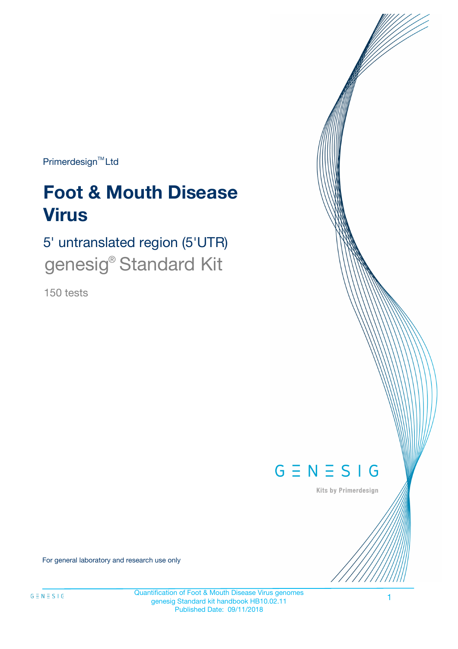Primerdesign<sup>™</sup>Ltd

# **Foot & Mouth Disease Virus**

5' untranslated region (5'UTR) genesig<sup>®</sup> Standard Kit

150 tests



Kits by Primerdesign

For general laboratory and research use only

Quantification of Foot & Mouth Disease Virus genomes genesig Standard kit handbook HB10.02.11 Published Date: 09/11/2018

1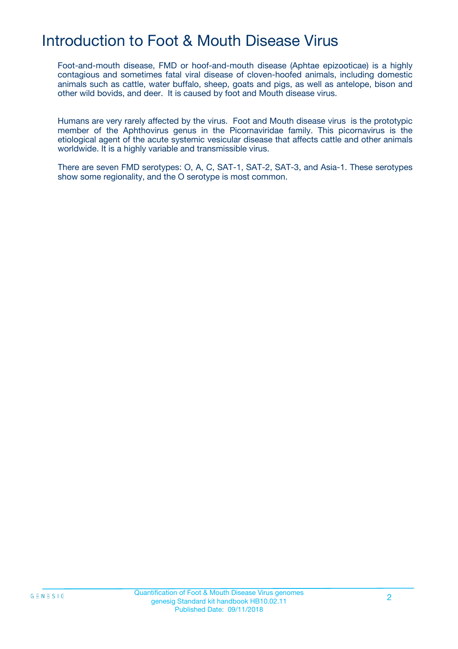## Introduction to Foot & Mouth Disease Virus

Foot-and-mouth disease, FMD or hoof-and-mouth disease (Aphtae epizooticae) is a highly contagious and sometimes fatal viral disease of cloven-hoofed animals, including domestic animals such as cattle, water buffalo, sheep, goats and pigs, as well as antelope, bison and other wild bovids, and deer. It is caused by foot and Mouth disease virus.

Humans are very rarely affected by the virus. Foot and Mouth disease virus is the prototypic member of the Aphthovirus genus in the Picornaviridae family. This picornavirus is the etiological agent of the acute systemic vesicular disease that affects cattle and other animals worldwide. It is a highly variable and transmissible virus.

There are seven FMD serotypes: O, A, C, SAT-1, SAT-2, SAT-3, and Asia-1. These serotypes show some regionality, and the O serotype is most common.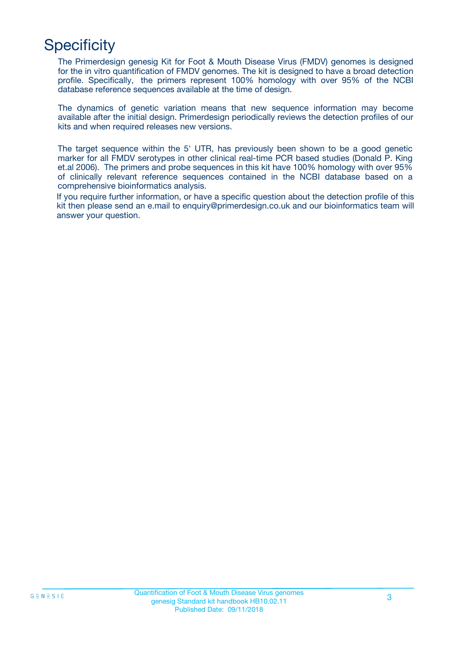## **Specificity**

The Primerdesign genesig Kit for Foot & Mouth Disease Virus (FMDV) genomes is designed for the in vitro quantification of FMDV genomes. The kit is designed to have a broad detection profile. Specifically, the primers represent 100% homology with over 95% of the NCBI database reference sequences available at the time of design.

The dynamics of genetic variation means that new sequence information may become available after the initial design. Primerdesign periodically reviews the detection profiles of our kits and when required releases new versions.

The target sequence within the 5' UTR, has previously been shown to be a good genetic marker for all FMDV serotypes in other clinical real-time PCR based studies (Donald P. King et.al 2006). The primers and probe sequences in this kit have 100% homology with over 95% of clinically relevant reference sequences contained in the NCBI database based on a comprehensive bioinformatics analysis.

If you require further information, or have a specific question about the detection profile of this kit then please send an e.mail to enquiry@primerdesign.co.uk and our bioinformatics team will answer your question.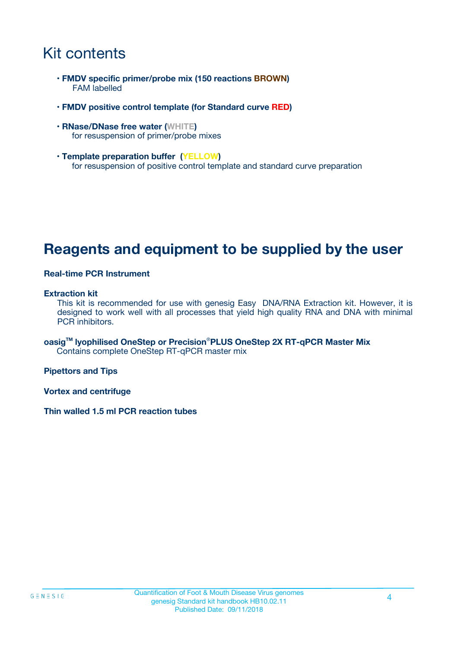## Kit contents

- **FMDV specific primer/probe mix (150 reactions BROWN)** FAM labelled
- **FMDV positive control template (for Standard curve RED)**
- **RNase/DNase free water (WHITE)** for resuspension of primer/probe mixes
- **Template preparation buffer (YELLOW)** for resuspension of positive control template and standard curve preparation

### **Reagents and equipment to be supplied by the user**

#### **Real-time PCR Instrument**

#### **Extraction kit**

This kit is recommended for use with genesig Easy DNA/RNA Extraction kit. However, it is designed to work well with all processes that yield high quality RNA and DNA with minimal PCR inhibitors.

**oasigTM lyophilised OneStep or Precision**®**PLUS OneStep 2X RT-qPCR Master Mix** Contains complete OneStep RT-qPCR master mix

**Pipettors and Tips**

**Vortex and centrifuge**

**Thin walled 1.5 ml PCR reaction tubes**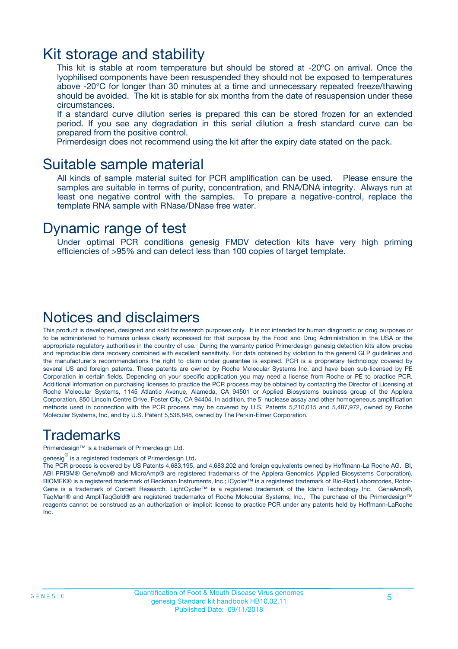### Kit storage and stability

This kit is stable at room temperature but should be stored at -20ºC on arrival. Once the lyophilised components have been resuspended they should not be exposed to temperatures above -20°C for longer than 30 minutes at a time and unnecessary repeated freeze/thawing should be avoided. The kit is stable for six months from the date of resuspension under these circumstances.

If a standard curve dilution series is prepared this can be stored frozen for an extended period. If you see any degradation in this serial dilution a fresh standard curve can be prepared from the positive control.

Primerdesign does not recommend using the kit after the expiry date stated on the pack.

### Suitable sample material

All kinds of sample material suited for PCR amplification can be used. Please ensure the samples are suitable in terms of purity, concentration, and RNA/DNA integrity. Always run at least one negative control with the samples. To prepare a negative-control, replace the template RNA sample with RNase/DNase free water.

### Dynamic range of test

Under optimal PCR conditions genesig FMDV detection kits have very high priming efficiencies of >95% and can detect less than 100 copies of target template.

### Notices and disclaimers

This product is developed, designed and sold for research purposes only. It is not intended for human diagnostic or drug purposes or to be administered to humans unless clearly expressed for that purpose by the Food and Drug Administration in the USA or the appropriate regulatory authorities in the country of use. During the warranty period Primerdesign genesig detection kits allow precise and reproducible data recovery combined with excellent sensitivity. For data obtained by violation to the general GLP guidelines and the manufacturer's recommendations the right to claim under guarantee is expired. PCR is a proprietary technology covered by several US and foreign patents. These patents are owned by Roche Molecular Systems Inc. and have been sub-licensed by PE Corporation in certain fields. Depending on your specific application you may need a license from Roche or PE to practice PCR. Additional information on purchasing licenses to practice the PCR process may be obtained by contacting the Director of Licensing at Roche Molecular Systems, 1145 Atlantic Avenue, Alameda, CA 94501 or Applied Biosystems business group of the Applera Corporation, 850 Lincoln Centre Drive, Foster City, CA 94404. In addition, the 5' nuclease assay and other homogeneous amplification methods used in connection with the PCR process may be covered by U.S. Patents 5,210,015 and 5,487,972, owned by Roche Molecular Systems, Inc, and by U.S. Patent 5,538,848, owned by The Perkin-Elmer Corporation.

### Trademarks

Primerdesign™ is a trademark of Primerdesign Ltd.

genesig $^\circledR$  is a registered trademark of Primerdesign Ltd.

The PCR process is covered by US Patents 4,683,195, and 4,683,202 and foreign equivalents owned by Hoffmann-La Roche AG. BI, ABI PRISM® GeneAmp® and MicroAmp® are registered trademarks of the Applera Genomics (Applied Biosystems Corporation). BIOMEK® is a registered trademark of Beckman Instruments, Inc.; iCycler™ is a registered trademark of Bio-Rad Laboratories, Rotor-Gene is a trademark of Corbett Research. LightCycler™ is a registered trademark of the Idaho Technology Inc. GeneAmp®, TaqMan® and AmpliTaqGold® are registered trademarks of Roche Molecular Systems, Inc., The purchase of the Primerdesign™ reagents cannot be construed as an authorization or implicit license to practice PCR under any patents held by Hoffmann-LaRoche Inc.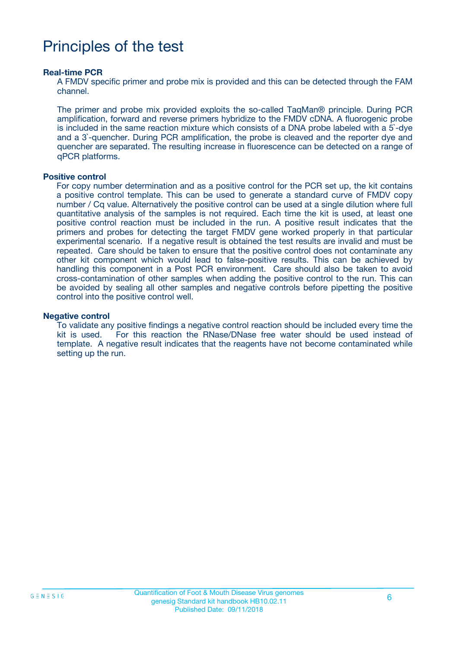## Principles of the test

#### **Real-time PCR**

A FMDV specific primer and probe mix is provided and this can be detected through the FAM channel.

The primer and probe mix provided exploits the so-called TaqMan® principle. During PCR amplification, forward and reverse primers hybridize to the FMDV cDNA. A fluorogenic probe is included in the same reaction mixture which consists of a DNA probe labeled with a 5`-dye and a 3`-quencher. During PCR amplification, the probe is cleaved and the reporter dye and quencher are separated. The resulting increase in fluorescence can be detected on a range of qPCR platforms.

#### **Positive control**

For copy number determination and as a positive control for the PCR set up, the kit contains a positive control template. This can be used to generate a standard curve of FMDV copy number / Cq value. Alternatively the positive control can be used at a single dilution where full quantitative analysis of the samples is not required. Each time the kit is used, at least one positive control reaction must be included in the run. A positive result indicates that the primers and probes for detecting the target FMDV gene worked properly in that particular experimental scenario. If a negative result is obtained the test results are invalid and must be repeated. Care should be taken to ensure that the positive control does not contaminate any other kit component which would lead to false-positive results. This can be achieved by handling this component in a Post PCR environment. Care should also be taken to avoid cross-contamination of other samples when adding the positive control to the run. This can be avoided by sealing all other samples and negative controls before pipetting the positive control into the positive control well.

#### **Negative control**

To validate any positive findings a negative control reaction should be included every time the kit is used. For this reaction the RNase/DNase free water should be used instead of template. A negative result indicates that the reagents have not become contaminated while setting up the run.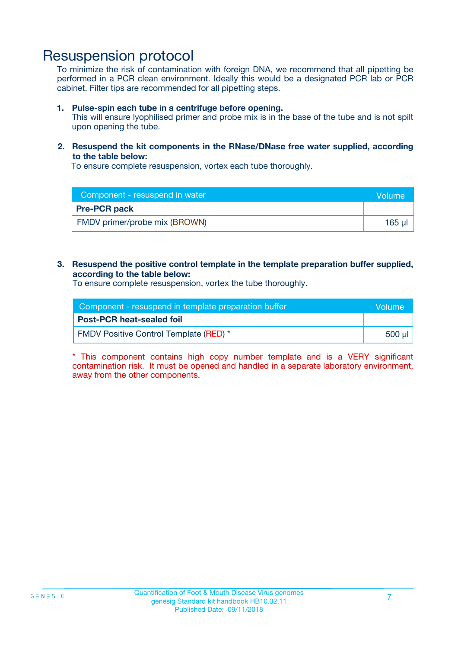### Resuspension protocol

To minimize the risk of contamination with foreign DNA, we recommend that all pipetting be performed in a PCR clean environment. Ideally this would be a designated PCR lab or PCR cabinet. Filter tips are recommended for all pipetting steps.

#### **1. Pulse-spin each tube in a centrifuge before opening.**

This will ensure lyophilised primer and probe mix is in the base of the tube and is not spilt upon opening the tube.

#### **2. Resuspend the kit components in the RNase/DNase free water supplied, according to the table below:**

To ensure complete resuspension, vortex each tube thoroughly.

| Component - resuspend in water | <b>Nolume</b> |
|--------------------------------|---------------|
| <b>Pre-PCR pack</b>            |               |
| FMDV primer/probe mix (BROWN)  | $165$ $\mu$   |

#### **3. Resuspend the positive control template in the template preparation buffer supplied, according to the table below:**

To ensure complete resuspension, vortex the tube thoroughly.

| Component - resuspend in template preparation buffer |        |  |
|------------------------------------------------------|--------|--|
| <b>Post-PCR heat-sealed foil</b>                     |        |  |
| <b>FMDV Positive Control Template (RED)</b> *        | 500 µl |  |

\* This component contains high copy number template and is a VERY significant contamination risk. It must be opened and handled in a separate laboratory environment, away from the other components.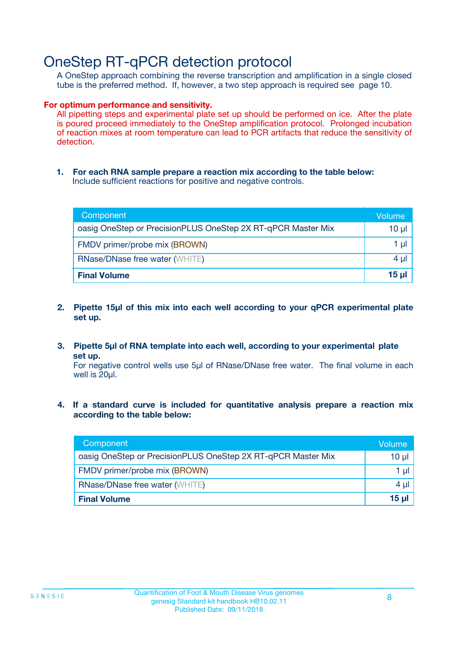### OneStep RT-qPCR detection protocol

A OneStep approach combining the reverse transcription and amplification in a single closed tube is the preferred method. If, however, a two step approach is required see page 10.

#### **For optimum performance and sensitivity.**

All pipetting steps and experimental plate set up should be performed on ice. After the plate is poured proceed immediately to the OneStep amplification protocol. Prolonged incubation of reaction mixes at room temperature can lead to PCR artifacts that reduce the sensitivity of detection.

**1. For each RNA sample prepare a reaction mix according to the table below:** Include sufficient reactions for positive and negative controls.

| Component                                                    | Volume     |
|--------------------------------------------------------------|------------|
| oasig OneStep or PrecisionPLUS OneStep 2X RT-qPCR Master Mix | $10 \mu$   |
| FMDV primer/probe mix (BROWN)                                | 1 µl       |
| <b>RNase/DNase free water (WHITE)</b>                        | 4 µl       |
| <b>Final Volume</b>                                          | $15$ $\mu$ |

- **2. Pipette 15µl of this mix into each well according to your qPCR experimental plate set up.**
- **3. Pipette 5µl of RNA template into each well, according to your experimental plate set up.**

For negative control wells use 5µl of RNase/DNase free water. The final volume in each well is 20ul.

**4. If a standard curve is included for quantitative analysis prepare a reaction mix according to the table below:**

| Component                                                    | Volume   |
|--------------------------------------------------------------|----------|
| oasig OneStep or PrecisionPLUS OneStep 2X RT-qPCR Master Mix | 10 µl    |
| FMDV primer/probe mix (BROWN)                                | 1 ul     |
| <b>RNase/DNase free water (WHITE)</b>                        | $4 \mu$  |
| <b>Final Volume</b>                                          | $15 \mu$ |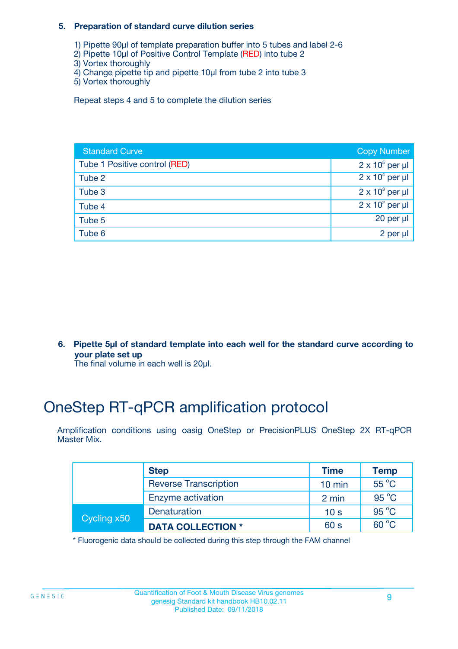#### **5. Preparation of standard curve dilution series**

- 1) Pipette 90µl of template preparation buffer into 5 tubes and label 2-6
- 2) Pipette 10µl of Positive Control Template (RED) into tube 2
- 3) Vortex thoroughly
- 4) Change pipette tip and pipette 10µl from tube 2 into tube 3
- 5) Vortex thoroughly

Repeat steps 4 and 5 to complete the dilution series

| <b>Standard Curve</b>         | <b>Copy Number</b>     |
|-------------------------------|------------------------|
| Tube 1 Positive control (RED) | $2 \times 10^5$ per µl |
| Tube 2                        | $2 \times 10^4$ per µl |
| Tube 3                        | $2 \times 10^3$ per µl |
| Tube 4                        | $2 \times 10^2$ per µl |
| Tube 5                        | 20 per $\mu$           |
| Tube 6                        | 2 per µl               |

**6. Pipette 5µl of standard template into each well for the standard curve according to your plate set up**

The final volume in each well is 20ul.

## OneStep RT-qPCR amplification protocol

Amplification conditions using oasig OneStep or PrecisionPLUS OneStep 2X RT-qPCR Master Mix.

|             | <b>Step</b>                  | <b>Time</b>      | <b>Temp</b>    |
|-------------|------------------------------|------------------|----------------|
|             | <b>Reverse Transcription</b> | $10 \text{ min}$ | 55 °C          |
|             | Enzyme activation            | 2 min            | $95^{\circ}$ C |
| Cycling x50 | Denaturation                 | 10 <sub>s</sub>  | $95^{\circ}$ C |
|             | <b>DATA COLLECTION *</b>     | 60 s             | $60^{\circ}$ C |

\* Fluorogenic data should be collected during this step through the FAM channel